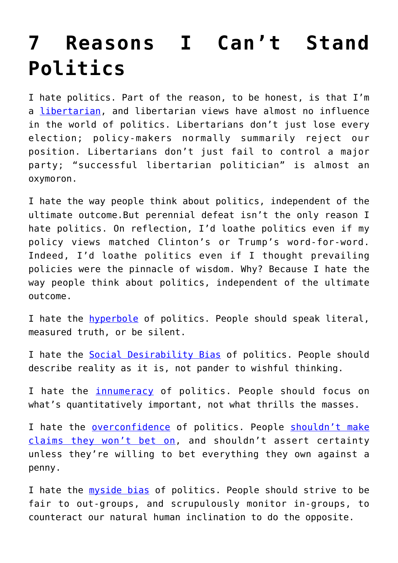## **[7 Reasons I Can't Stand](https://intellectualtakeout.org/2016/09/7-reasons-i-cant-stand-politics/) [Politics](https://intellectualtakeout.org/2016/09/7-reasons-i-cant-stand-politics/)**

I hate politics. Part of the reason, to be honest, is that I'm a [libertarian,](https://www.amazon.com/Problem-Political-Authority-Examination-Coerce/dp/1137281650/ref=sr_1_1?s=books&ie=UTF8&qid=1474944686&sr=1-1&keywords=problem+of+political+authority) and libertarian views have almost no influence in the world of politics. Libertarians don't just lose every election; policy-makers normally summarily reject our position. Libertarians don't just fail to control a major party; "successful libertarian politician" is almost an oxymoron.

I hate the way people think about politics, independent of the ultimate outcome.But perennial defeat isn't the only reason I hate politics. On reflection, I'd loathe politics even if my policy views matched Clinton's or Trump's word-for-word. Indeed, I'd loathe politics even if I thought prevailing policies were the pinnacle of wisdom. Why? Because I hate the way people think about politics, independent of the ultimate outcome.

I hate the [hyperbole](http://econlog.econlib.org/archives/2015/09/whats_libertari.html) of politics. People should speak literal, measured truth, or be silent.

I hate the [Social Desirability Bias](http://econlog.econlib.org/archives/2016/04/the_diction_of.html) of politics. People should describe reality as it is, not pander to wishful thinking.

I hate the [innumeracy](http://econlog.econlib.org/archives/2016/01/terrorism_and_i.html) of politics. People should focus on what's quantitatively important, not what thrills the masses.

I hate the [overconfidence](http://econlog.econlib.org/archives/2005/07/two_flawless_ar.html) of politics. People [shouldn't make](http://econlog.econlib.org/archives/2012/05/the_bettors_oat.html) [claims they won't bet on,](http://econlog.econlib.org/archives/2012/05/the_bettors_oat.html) and shouldn't assert certainty unless they're willing to bet everything they own against a penny.

I hate the [myside bias](http://econlog.econlib.org/archives/2014/10/dear_identity_p.html) of politics. People should strive to be fair to out-groups, and scrupulously monitor in-groups, to counteract our natural human inclination to do the opposite.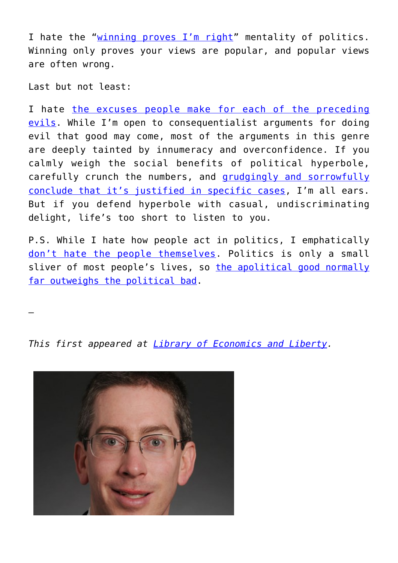I hate the "[winning proves I'm right](http://econlog.econlib.org/archives/2014/09/against_winning.html)" mentality of politics. Winning only proves your views are popular, and popular views are often wrong.

Last but not least:

—

I hate [the excuses people make for each of the preceding](http://econlog.econlib.org/archives/2009/09/against_human_w.html) [evils.](http://econlog.econlib.org/archives/2009/09/against_human_w.html) While I'm open to consequentialist arguments for doing evil that good may come, most of the arguments in this genre are deeply tainted by innumeracy and overconfidence. If you calmly weigh the social benefits of political hyperbole, carefully crunch the numbers, and [grudgingly and sorrowfully](http://econlog.econlib.org/archives/2016/01/the_invisible_t.html) [conclude that it's justified in specific cases](http://econlog.econlib.org/archives/2016/01/the_invisible_t.html), I'm all ears. But if you defend hyperbole with casual, undiscriminating delight, life's too short to listen to you.

P.S. While I hate how people act in politics, I emphatically [don't hate the people themselves](http://econlog.econlib.org/archives/2013/05/i_was_a_teenage.html). Politics is only a small sliver of most people's lives, so [the apolitical good normally](http://econlog.econlib.org/archives/2009/09/the_expected_hu.html) [far outweighs the political bad](http://econlog.econlib.org/archives/2009/09/the_expected_hu.html).

*This first appeared at [Library of Economics and Liberty.](http://econlog.econlib.org/archives/2016/09/apolitical_reas.html)*